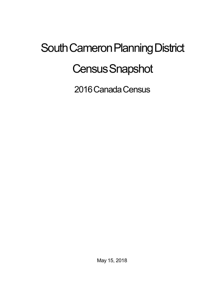## South Cameron Planning District **Census Snapshot**

2016 Canada Census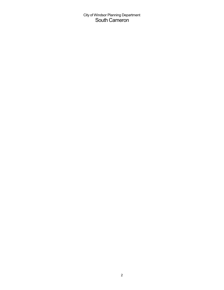City of Windsor Planning Department South Cameron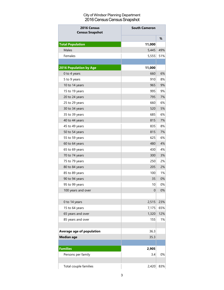## City of Windsor Planning Department 2016 Census Census Snapshot

| 2016 Census<br><b>Census Snapshot</b> | <b>South Cameron</b> |     |
|---------------------------------------|----------------------|-----|
|                                       |                      | %   |
| <b>Total Population</b>               | 11,000               |     |
| Males                                 | 5,445                | 49% |
| Females                               | 5,555                | 51% |
|                                       |                      |     |
| <b>2016 Population by Age</b>         | 11,000               |     |
| 0 to 4 years                          | 660                  | 6%  |
| 5 to 9 years                          | 910                  | 8%  |
| 10 to 14 years                        | 965                  | 9%  |
| 15 to 19 years                        | 995                  | 9%  |
| 20 to 24 years                        | 795                  | 7%  |
| 25 to 29 years                        | 660                  | 6%  |
| 30 to 34 years                        | 520                  | 5%  |
| 35 to 39 years                        | 685                  | 6%  |
| 40 to 44 years                        | 815                  | 7%  |
| 45 to 49 years                        | 835                  | 8%  |
| 50 to 54 years                        | 815                  | 7%  |
| 55 to 59 years                        | 625                  | 6%  |
| 60 to 64 years                        | 480                  | 4%  |
| 65 to 69 years                        | 430                  | 4%  |
| 70 to 74 years                        | 300                  | 3%  |
| 75 to 79 years                        | 250                  | 2%  |
| 80 to 84 years                        | 205                  | 2%  |
| 85 to 89 years                        | 100                  | 1%  |
| 90 to 94 years                        | 35                   | 0%  |
| 95 to 99 years                        | 10                   | 0%  |
| 100 years and over                    | $\mathbf 0$          | 0%  |
|                                       |                      |     |
| 0 to 14 years                         | 2,515                | 23% |
| 15 to 64 years                        | 7,175                | 65% |
| 65 years and over                     | 1,320                | 12% |
| 85 years and over                     | 155                  | 1%  |
|                                       |                      |     |
| Average age of population             | 36.3                 |     |
| <b>Median age</b>                     | 35.3                 |     |
|                                       |                      |     |
| <b>Families</b>                       | 2,905                |     |
| Persons per family                    | 3.4                  | 0%  |
|                                       |                      |     |
| Total couple families                 | 2,420                | 83% |